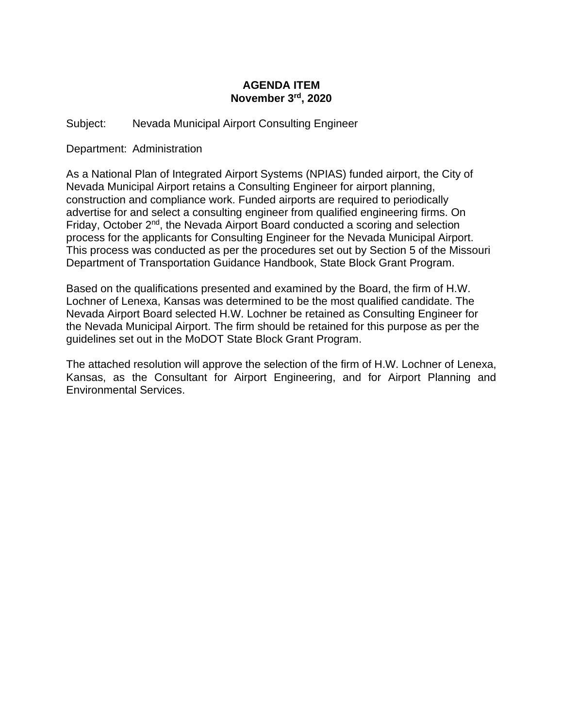## **AGENDA ITEM November 3rd, 2020**

Subject: Nevada Municipal Airport Consulting Engineer

Department: Administration

As a National Plan of Integrated Airport Systems (NPIAS) funded airport, the City of Nevada Municipal Airport retains a Consulting Engineer for airport planning, construction and compliance work. Funded airports are required to periodically advertise for and select a consulting engineer from qualified engineering firms. On Friday, October 2nd, the Nevada Airport Board conducted a scoring and selection process for the applicants for Consulting Engineer for the Nevada Municipal Airport. This process was conducted as per the procedures set out by Section 5 of the Missouri Department of Transportation Guidance Handbook, State Block Grant Program.

Based on the qualifications presented and examined by the Board, the firm of H.W. Lochner of Lenexa, Kansas was determined to be the most qualified candidate. The Nevada Airport Board selected H.W. Lochner be retained as Consulting Engineer for the Nevada Municipal Airport. The firm should be retained for this purpose as per the guidelines set out in the MoDOT State Block Grant Program.

The attached resolution will approve the selection of the firm of H.W. Lochner of Lenexa, Kansas, as the Consultant for Airport Engineering, and for Airport Planning and Environmental Services.